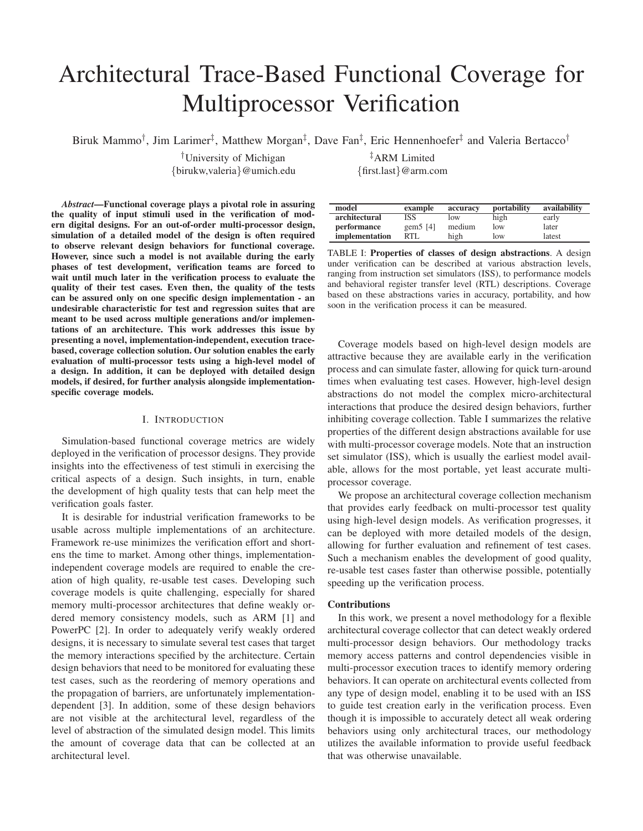# Architectural Trace-Based Functional Coverage for Multiprocessor Verification

Biruk Mammo<sup>†</sup>, Jim Larimer<sup>‡</sup>, Matthew Morgan<sup>‡</sup>, Dave Fan<sup>‡</sup>, Eric Hennenhoefer<sup>‡</sup> and Valeria Bertacco<sup>†</sup>

†University of Michigan {birukw,valeria}@umich.edu

*Abstract***—Functional coverage plays a pivotal role in assuring the quality of input stimuli used in the verification of modern digital designs. For an out-of-order multi-processor design, simulation of a detailed model of the design is often required to observe relevant design behaviors for functional coverage. However, since such a model is not available during the early phases of test development, verification teams are forced to wait until much later in the verification process to evaluate the quality of their test cases. Even then, the quality of the tests can be assured only on one specific design implementation - an undesirable characteristic for test and regression suites that are meant to be used across multiple generations and/or implementations of an architecture. This work addresses this issue by presenting a novel, implementation-independent, execution tracebased, coverage collection solution. Our solution enables the early evaluation of multi-processor tests using a high-level model of a design. In addition, it can be deployed with detailed design models, if desired, for further analysis alongside implementationspecific coverage models.**

## I. INTRODUCTION

Simulation-based functional coverage metrics are widely deployed in the verification of processor designs. They provide insights into the effectiveness of test stimuli in exercising the critical aspects of a design. Such insights, in turn, enable the development of high quality tests that can help meet the verification goals faster.

It is desirable for industrial verification frameworks to be usable across multiple implementations of an architecture. Framework re-use minimizes the verification effort and shortens the time to market. Among other things, implementationindependent coverage models are required to enable the creation of high quality, re-usable test cases. Developing such coverage models is quite challenging, especially for shared memory multi-processor architectures that define weakly ordered memory consistency models, such as ARM [1] and PowerPC [2]. In order to adequately verify weakly ordered designs, it is necessary to simulate several test cases that target the memory interactions specified by the architecture. Certain design behaviors that need to be monitored for evaluating these test cases, such as the reordering of memory operations and the propagation of barriers, are unfortunately implementationdependent [3]. In addition, some of these design behaviors are not visible at the architectural level, regardless of the level of abstraction of the simulated design model. This limits the amount of coverage data that can be collected at an architectural level.

‡ARM Limited {first.last}@arm.com

| model          | example     | accuracy | portability | availability |
|----------------|-------------|----------|-------------|--------------|
| architectural  | ISS         | low      | high        | early        |
| performance    | gem $5$ [4] | medium   | low         | later        |
| implementation | RTL         | high     | low         | latest       |

TABLE I: **Properties of classes of design abstractions**. A design under verification can be described at various abstraction levels, ranging from instruction set simulators (ISS), to performance models and behavioral register transfer level (RTL) descriptions. Coverage based on these abstractions varies in accuracy, portability, and how soon in the verification process it can be measured.

Coverage models based on high-level design models are attractive because they are available early in the verification process and can simulate faster, allowing for quick turn-around times when evaluating test cases. However, high-level design abstractions do not model the complex micro-architectural interactions that produce the desired design behaviors, further inhibiting coverage collection. Table I summarizes the relative properties of the different design abstractions available for use with multi-processor coverage models. Note that an instruction set simulator (ISS), which is usually the earliest model available, allows for the most portable, yet least accurate multiprocessor coverage.

We propose an architectural coverage collection mechanism that provides early feedback on multi-processor test quality using high-level design models. As verification progresses, it can be deployed with more detailed models of the design, allowing for further evaluation and refinement of test cases. Such a mechanism enables the development of good quality, re-usable test cases faster than otherwise possible, potentially speeding up the verification process.

## **Contributions**

In this work, we present a novel methodology for a flexible architectural coverage collector that can detect weakly ordered multi-processor design behaviors. Our methodology tracks memory access patterns and control dependencies visible in multi-processor execution traces to identify memory ordering behaviors. It can operate on architectural events collected from any type of design model, enabling it to be used with an ISS to guide test creation early in the verification process. Even though it is impossible to accurately detect all weak ordering behaviors using only architectural traces, our methodology utilizes the available information to provide useful feedback that was otherwise unavailable.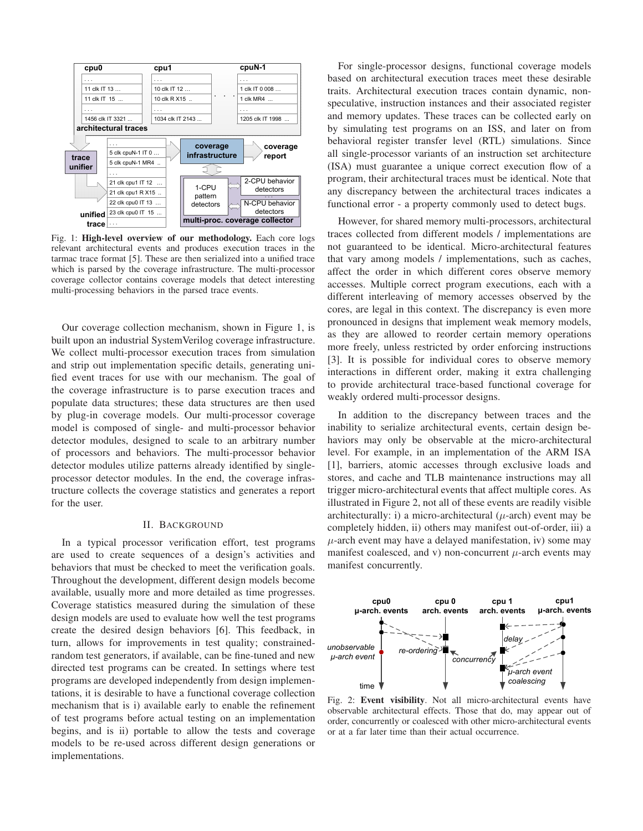

Fig. 1: **High-level overview of our methodology.** Each core logs relevant architectural events and produces execution traces in the tarmac trace format [5]. These are then serialized into a unified trace which is parsed by the coverage infrastructure. The multi-processor coverage collector contains coverage models that detect interesting multi-processing behaviors in the parsed trace events.

Our coverage collection mechanism, shown in Figure 1, is built upon an industrial SystemVerilog coverage infrastructure. We collect multi-processor execution traces from simulation and strip out implementation specific details, generating unified event traces for use with our mechanism. The goal of the coverage infrastructure is to parse execution traces and populate data structures; these data structures are then used by plug-in coverage models. Our multi-processor coverage model is composed of single- and multi-processor behavior detector modules, designed to scale to an arbitrary number of processors and behaviors. The multi-processor behavior detector modules utilize patterns already identified by singleprocessor detector modules. In the end, the coverage infrastructure collects the coverage statistics and generates a report for the user.

## II. BACKGROUND

In a typical processor verification effort, test programs are used to create sequences of a design's activities and behaviors that must be checked to meet the verification goals. Throughout the development, different design models become available, usually more and more detailed as time progresses. Coverage statistics measured during the simulation of these design models are used to evaluate how well the test programs create the desired design behaviors [6]. This feedback, in turn, allows for improvements in test quality; constrainedrandom test generators, if available, can be fine-tuned and new directed test programs can be created. In settings where test programs are developed independently from design implementations, it is desirable to have a functional coverage collection mechanism that is i) available early to enable the refinement of test programs before actual testing on an implementation begins, and is ii) portable to allow the tests and coverage models to be re-used across different design generations or implementations.

For single-processor designs, functional coverage models based on architectural execution traces meet these desirable traits. Architectural execution traces contain dynamic, nonspeculative, instruction instances and their associated register and memory updates. These traces can be collected early on by simulating test programs on an ISS, and later on from behavioral register transfer level (RTL) simulations. Since all single-processor variants of an instruction set architecture (ISA) must guarantee a unique correct execution flow of a program, their architectural traces must be identical. Note that any discrepancy between the architectural traces indicates a functional error - a property commonly used to detect bugs.

However, for shared memory multi-processors, architectural traces collected from different models / implementations are not guaranteed to be identical. Micro-architectural features that vary among models / implementations, such as caches, affect the order in which different cores observe memory accesses. Multiple correct program executions, each with a different interleaving of memory accesses observed by the cores, are legal in this context. The discrepancy is even more pronounced in designs that implement weak memory models, as they are allowed to reorder certain memory operations more freely, unless restricted by order enforcing instructions [3]. It is possible for individual cores to observe memory interactions in different order, making it extra challenging to provide architectural trace-based functional coverage for weakly ordered multi-processor designs.

In addition to the discrepancy between traces and the inability to serialize architectural events, certain design behaviors may only be observable at the micro-architectural level. For example, in an implementation of the ARM ISA [1], barriers, atomic accesses through exclusive loads and stores, and cache and TLB maintenance instructions may all trigger micro-architectural events that affect multiple cores. As illustrated in Figure 2, not all of these events are readily visible architecturally: i) a micro-architectural  $(\mu$ -arch) event may be completely hidden, ii) others may manifest out-of-order, iii) a  $\mu$ -arch event may have a delayed manifestation, iv) some may manifest coalesced, and v) non-concurrent  $\mu$ -arch events may manifest concurrently.



Fig. 2: **Event visibility**. Not all micro-architectural events have observable architectural effects. Those that do, may appear out of order, concurrently or coalesced with other micro-architectural events or at a far later time than their actual occurrence.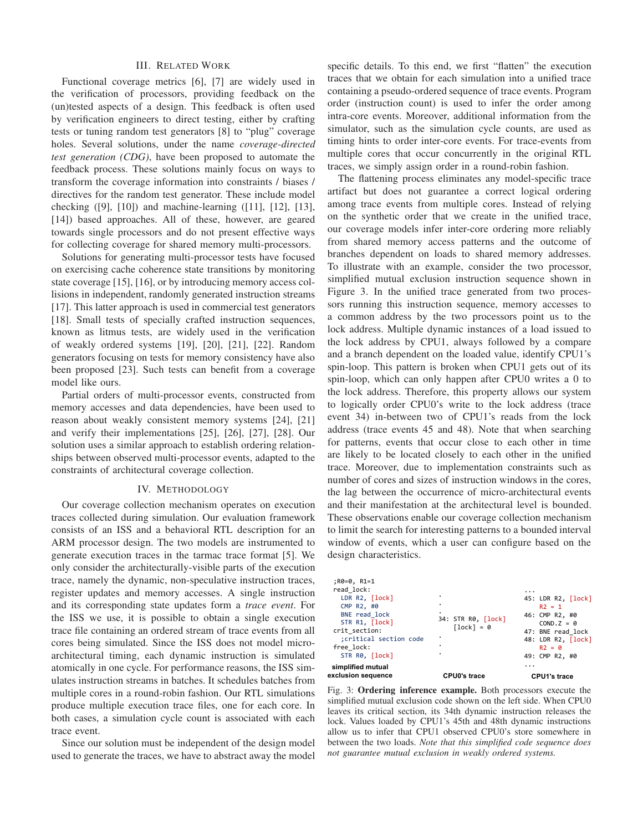### III. RELATED WORK

Functional coverage metrics [6], [7] are widely used in the verification of processors, providing feedback on the (un)tested aspects of a design. This feedback is often used by verification engineers to direct testing, either by crafting tests or tuning random test generators [8] to "plug" coverage holes. Several solutions, under the name *coverage-directed test generation (CDG)*, have been proposed to automate the feedback process. These solutions mainly focus on ways to transform the coverage information into constraints / biases / directives for the random test generator. These include model checking ([9], [10]) and machine-learning ([11], [12], [13], [14]) based approaches. All of these, however, are geared towards single processors and do not present effective ways for collecting coverage for shared memory multi-processors.

Solutions for generating multi-processor tests have focused on exercising cache coherence state transitions by monitoring state coverage [15], [16], or by introducing memory access collisions in independent, randomly generated instruction streams [17]. This latter approach is used in commercial test generators [18]. Small tests of specially crafted instruction sequences, known as litmus tests, are widely used in the verification of weakly ordered systems [19], [20], [21], [22]. Random generators focusing on tests for memory consistency have also been proposed [23]. Such tests can benefit from a coverage model like ours.

Partial orders of multi-processor events, constructed from memory accesses and data dependencies, have been used to reason about weakly consistent memory systems [24], [21] and verify their implementations [25], [26], [27], [28]. Our solution uses a similar approach to establish ordering relationships between observed multi-processor events, adapted to the constraints of architectural coverage collection.

#### IV. METHODOLOGY

Our coverage collection mechanism operates on execution traces collected during simulation. Our evaluation framework consists of an ISS and a behavioral RTL description for an ARM processor design. The two models are instrumented to generate execution traces in the tarmac trace format [5]. We only consider the architecturally-visible parts of the execution trace, namely the dynamic, non-speculative instruction traces, register updates and memory accesses. A single instruction and its corresponding state updates form a *trace event*. For the ISS we use, it is possible to obtain a single execution trace file containing an ordered stream of trace events from all cores being simulated. Since the ISS does not model microarchitectural timing, each dynamic instruction is simulated atomically in one cycle. For performance reasons, the ISS simulates instruction streams in batches. It schedules batches from multiple cores in a round-robin fashion. Our RTL simulations produce multiple execution trace files, one for each core. In both cases, a simulation cycle count is associated with each trace event.

Since our solution must be independent of the design model used to generate the traces, we have to abstract away the model specific details. To this end, we first "flatten" the execution traces that we obtain for each simulation into a unified trace containing a pseudo-ordered sequence of trace events. Program order (instruction count) is used to infer the order among intra-core events. Moreover, additional information from the simulator, such as the simulation cycle counts, are used as timing hints to order inter-core events. For trace-events from multiple cores that occur concurrently in the original RTL traces, we simply assign order in a round-robin fashion.

The flattening process eliminates any model-specific trace artifact but does not guarantee a correct logical ordering among trace events from multiple cores. Instead of relying on the synthetic order that we create in the unified trace, our coverage models infer inter-core ordering more reliably from shared memory access patterns and the outcome of branches dependent on loads to shared memory addresses. To illustrate with an example, consider the two processor, simplified mutual exclusion instruction sequence shown in Figure 3. In the unified trace generated from two processors running this instruction sequence, memory accesses to a common address by the two processors point us to the lock address. Multiple dynamic instances of a load issued to the lock address by CPU1, always followed by a compare and a branch dependent on the loaded value, identify CPU1's spin-loop. This pattern is broken when CPU1 gets out of its spin-loop, which can only happen after CPU0 writes a 0 to the lock address. Therefore, this property allows our system to logically order CPU0's write to the lock address (trace event 34) in-between two of CPU1's reads from the lock address (trace events 45 and 48). Note that when searching for patterns, events that occur close to each other in time are likely to be located closely to each other in the unified trace. Moreover, due to implementation constraints such as number of cores and sizes of instruction windows in the cores, the lag between the occurrence of micro-architectural events and their manifestation at the architectural level is bounded. These observations enable our coverage collection mechanism to limit the search for interesting patterns to a bounded interval window of events, which a user can configure based on the design characteristics.

| free lock:<br>STR R0, [lock]                                                                                                                                                     |                                                                                                                                                      |
|----------------------------------------------------------------------------------------------------------------------------------------------------------------------------------|------------------------------------------------------------------------------------------------------------------------------------------------------|
| ;R0=0, R1=1<br>read lock:<br>LDR R2, [lock]<br>CMP $R2, #0$<br>BNE read lock<br>34: STR R0, [lock]<br>STR R1, [lock]<br>$[lock] = 0$<br>crit section:<br>; critical section code | $\cdot$<br>45: LDR R2, [lock]<br>$R2 = 1$<br>46: CMP R2, #0<br>$COND.Z = 0$<br>47: BNE read lock<br>48: LDR R2, [lock]<br>$R2 = 0$<br>49: CMP R2, #0 |

Fig. 3: **Ordering inference example.** Both processors execute the simplified mutual exclusion code shown on the left side. When CPU0 leaves its critical section, its 34th dynamic instruction releases the lock. Values loaded by CPU1's 45th and 48th dynamic instructions allow us to infer that CPU1 observed CPU0's store somewhere in between the two loads. *Note that this simplified code sequence does not guarantee mutual exclusion in weakly ordered systems.*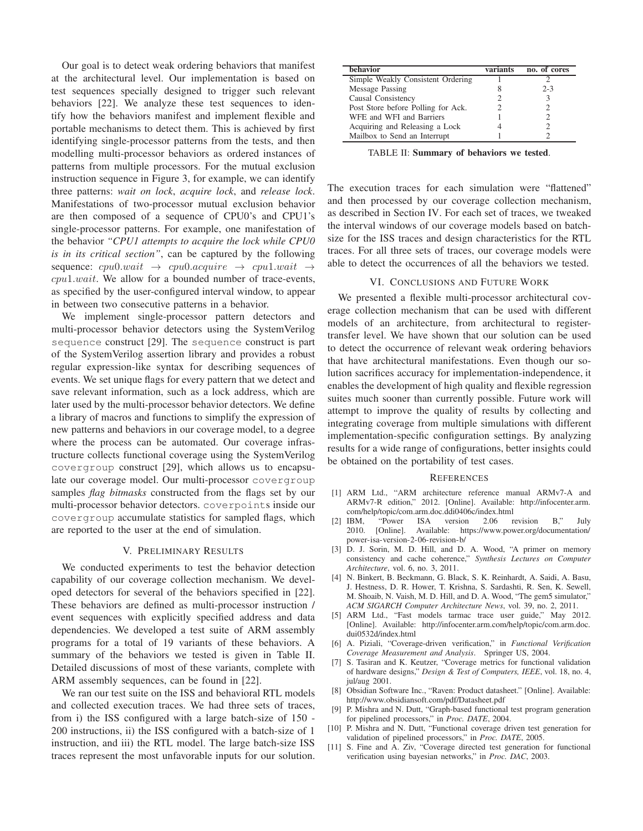Our goal is to detect weak ordering behaviors that manifest at the architectural level. Our implementation is based on test sequences specially designed to trigger such relevant behaviors [22]. We analyze these test sequences to identify how the behaviors manifest and implement flexible and portable mechanisms to detect them. This is achieved by first identifying single-processor patterns from the tests, and then modelling multi-processor behaviors as ordered instances of patterns from multiple processors. For the mutual exclusion instruction sequence in Figure 3, for example, we can identify three patterns: *wait on lock*, *acquire lock*, and *release lock*. Manifestations of two-processor mutual exclusion behavior are then composed of a sequence of CPU0's and CPU1's single-processor patterns. For example, one manifestation of the behavior *"CPU1 attempts to acquire the lock while CPU0 is in its critical section"*, can be captured by the following sequence:  $cpu0.wait \rightarrow cpu0.acquire \rightarrow cpu1.wait \rightarrow$ cpu1.wait. We allow for a bounded number of trace-events, as specified by the user-configured interval window, to appear in between two consecutive patterns in a behavior.

We implement single-processor pattern detectors and multi-processor behavior detectors using the SystemVerilog sequence construct [29]. The sequence construct is part of the SystemVerilog assertion library and provides a robust regular expression-like syntax for describing sequences of events. We set unique flags for every pattern that we detect and save relevant information, such as a lock address, which are later used by the multi-processor behavior detectors. We define a library of macros and functions to simplify the expression of new patterns and behaviors in our coverage model, to a degree where the process can be automated. Our coverage infrastructure collects functional coverage using the SystemVerilog covergroup construct [29], which allows us to encapsulate our coverage model. Our multi-processor covergroup samples *flag bitmasks* constructed from the flags set by our multi-processor behavior detectors. coverpoints inside our covergroup accumulate statistics for sampled flags, which are reported to the user at the end of simulation.

#### V. PRELIMINARY RESULTS

We conducted experiments to test the behavior detection capability of our coverage collection mechanism. We developed detectors for several of the behaviors specified in [22]. These behaviors are defined as multi-processor instruction / event sequences with explicitly specified address and data dependencies. We developed a test suite of ARM assembly programs for a total of 19 variants of these behaviors. A summary of the behaviors we tested is given in Table II. Detailed discussions of most of these variants, complete with ARM assembly sequences, can be found in [22].

We ran our test suite on the ISS and behavioral RTL models and collected execution traces. We had three sets of traces, from i) the ISS configured with a large batch-size of 150 - 200 instructions, ii) the ISS configured with a batch-size of 1 instruction, and iii) the RTL model. The large batch-size ISS traces represent the most unfavorable inputs for our solution.

| <b>behavior</b>                    | variants | no. of cores |
|------------------------------------|----------|--------------|
| Simple Weakly Consistent Ordering  |          |              |
| Message Passing                    |          | $2 - 3$      |
| Causal Consistency                 |          |              |
| Post Store before Polling for Ack. |          |              |
| WFE and WFI and Barriers           |          |              |
| Acquiring and Releasing a Lock     |          |              |
| Mailbox to Send an Interrupt       |          |              |

TABLE II: **Summary of behaviors we tested**.

The execution traces for each simulation were "flattened" and then processed by our coverage collection mechanism, as described in Section IV. For each set of traces, we tweaked the interval windows of our coverage models based on batchsize for the ISS traces and design characteristics for the RTL traces. For all three sets of traces, our coverage models were able to detect the occurrences of all the behaviors we tested.

## VI. CONCLUSIONS AND FUTURE WORK

We presented a flexible multi-processor architectural coverage collection mechanism that can be used with different models of an architecture, from architectural to registertransfer level. We have shown that our solution can be used to detect the occurrence of relevant weak ordering behaviors that have architectural manifestations. Even though our solution sacrifices accuracy for implementation-independence, it enables the development of high quality and flexible regression suites much sooner than currently possible. Future work will attempt to improve the quality of results by collecting and integrating coverage from multiple simulations with different implementation-specific configuration settings. By analyzing results for a wide range of configurations, better insights could be obtained on the portability of test cases.

#### **REFERENCES**

- [1] ARM Ltd., "ARM architecture reference manual ARMv7-A and ARMv7-R edition," 2012. [Online]. Available: http://infocenter.arm. com/help/topic/com.arm.doc.ddi0406c/index.html
- [2] IBM, "Power ISA version 2.06 revision B," July 2010. [Online]. Available: https://www.power.org/documentation/ power-isa-version-2-06-revision-b/
- [3] D. J. Sorin, M. D. Hill, and D. A. Wood, "A primer on memory consistency and cache coherence," *Synthesis Lectures on Computer Architecture*, vol. 6, no. 3, 2011.
- [4] N. Binkert, B. Beckmann, G. Black, S. K. Reinhardt, A. Saidi, A. Basu, J. Hestness, D. R. Hower, T. Krishna, S. Sardashti, R. Sen, K. Sewell, M. Shoaib, N. Vaish, M. D. Hill, and D. A. Wood, "The gem5 simulator," *ACM SIGARCH Computer Architecture News*, vol. 39, no. 2, 2011.
- [5] ARM Ltd., "Fast models tarmac trace user guide," May 2012. [Online]. Available: http://infocenter.arm.com/help/topic/com.arm.doc. dui0532d/index.html
- [6] A. Piziali, "Coverage-driven verification," in *Functional Verification Coverage Measurement and Analysis*. Springer US, 2004.
- [7] S. Tasiran and K. Keutzer, "Coverage metrics for functional validation of hardware designs," *Design & Test of Computers, IEEE*, vol. 18, no. 4, jul/aug 2001.
- [8] Obsidian Software Inc., "Raven: Product datasheet." [Online]. Available: http://www.obsidiansoft.com/pdf/Datasheet.pdf
- [9] P. Mishra and N. Dutt, "Graph-based functional test program generation for pipelined processors," in *Proc. DATE*, 2004.
- [10] P. Mishra and N. Dutt, "Functional coverage driven test generation for validation of pipelined processors," in *Proc. DATE*, 2005.
- [11] S. Fine and A. Ziv, "Coverage directed test generation for functional verification using bayesian networks," in *Proc. DAC*, 2003.